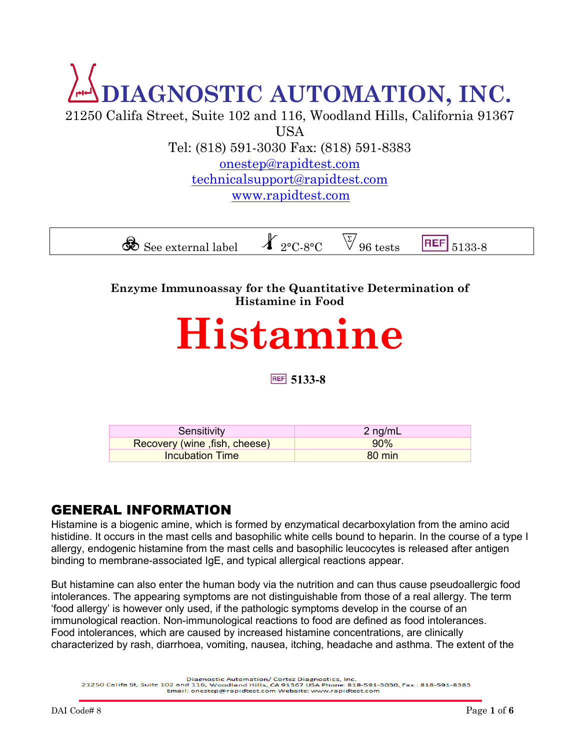## **DIAGNOSTIC AUTOMATION, INC.** 21250 Califa Street, Suite 102 and 116, Woodland Hills, California 91367

USA Tel: (818) 591-3030 Fax: (818) 591-8383 [onestep@rapidtest.com](mailto:onestep@rapidtest.com) [technicalsupport@rapidtest.com](mailto:technicalsupport@rapidtest.com)

www.rapidtest.com

 $\mathcal{S}$  See external label  $\mathcal{X}_{2^{\circ}C-8^{\circ}C}$   $\vee$  96 tests **REF** 5133-8

**Enzyme Immunoassay for the Quantitative Determination of Histamine in Food**

# **Histamine**

**5133-8**

| Sensitivity                   | 2 ng/mL          |
|-------------------------------|------------------|
| Recovery (wine, fish, cheese) | 90%              |
| Incubation Time               | $80 \text{ min}$ |

## GENERAL INFORMATION

Histamine is a biogenic amine, which is formed by enzymatical decarboxylation from the amino acid histidine. It occurs in the mast cells and basophilic white cells bound to heparin. In the course of a type I allergy, endogenic histamine from the mast cells and basophilic leucocytes is released after antigen binding to membrane-associated IgE, and typical allergical reactions appear.

But histamine can also enter the human body via the nutrition and can thus cause pseudoallergic food intolerances. The appearing symptoms are not distinguishable from those of a real allergy. The term 'food allergy' is however only used, if the pathologic symptoms develop in the course of an immunological reaction. Non-immunological reactions to food are defined as food intolerances. Food intolerances, which are caused by increased histamine concentrations, are clinically characterized by rash, diarrhoea, vomiting, nausea, itching, headache and asthma. The extent of the

Diagnostic Automation/ Cortez Diagnostics, Inc.<br>21250 Califa St, Suite 102 and 116, Woodland Hills. CA 91367 USA Phone: 818-591-8300. Fax : 818-591-8383<br>Email: onestep@rapidtest.com Website: www.rapidtest.com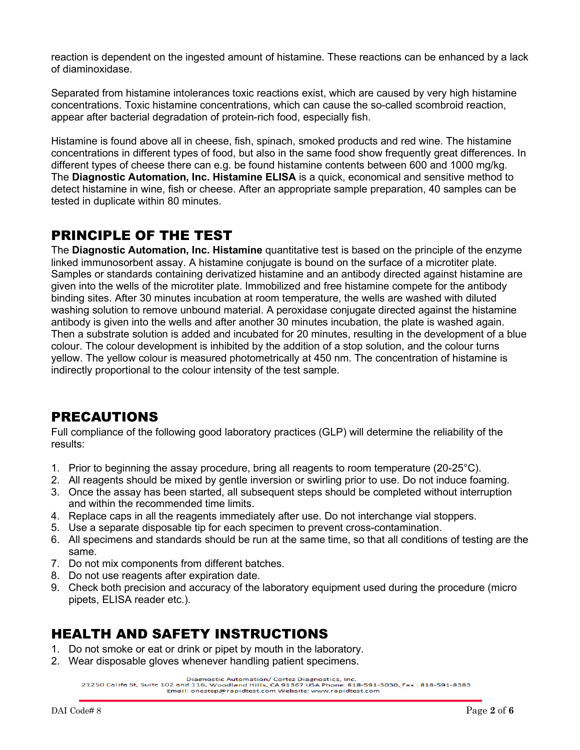reaction is dependent on the ingested amount of histamine. These reactions can be enhanced by a lack of diaminoxidase.

Separated from histamine intolerances toxic reactions exist, which are caused by very high histamine concentrations. Toxic histamine concentrations, which can cause the so-called scombroid reaction, appear after bacterial degradation of protein-rich food, especially fish.

Histamine is found above all in cheese, fish, spinach, smoked products and red wine. The histamine concentrations in different types of food, but also in the same food show frequently great differences. In different types of cheese there can e.g. be found histamine contents between 600 and 1000 mg/kg. The **Diagnostic Automation, Inc. Histamine ELISA** is a quick, economical and sensitive method to detect histamine in wine, fish or cheese. After an appropriate sample preparation, 40 samples can be tested in duplicate within 80 minutes.

## PRINCIPLE OF THE TEST

The **Diagnostic Automation, Inc. Histamine** quantitative test is based on the principle of the enzyme linked immunosorbent assay. A histamine conjugate is bound on the surface of a microtiter plate. Samples or standards containing derivatized histamine and an antibody directed against histamine are given into the wells of the microtiter plate. Immobilized and free histamine compete for the antibody binding sites. After 30 minutes incubation at room temperature, the wells are washed with diluted washing solution to remove unbound material. A peroxidase conjugate directed against the histamine antibody is given into the wells and after another 30 minutes incubation, the plate is washed again. Then a substrate solution is added and incubated for 20 minutes, resulting in the development of a blue colour. The colour development is inhibited by the addition of a stop solution, and the colour turns yellow. The yellow colour is measured photometrically at 450 nm. The concentration of histamine is indirectly proportional to the colour intensity of the test sample.

## PRECAUTIONS

Full compliance of the following good laboratory practices (GLP) will determine the reliability of the results:

- 1. Prior to beginning the assay procedure, bring all reagents to room temperature (20-25°C).
- 2. All reagents should be mixed by gentle inversion or swirling prior to use. Do not induce foaming.
- 3. Once the assay has been started, all subsequent steps should be completed without interruption and within the recommended time limits.
- 4. Replace caps in all the reagents immediately after use. Do not interchange vial stoppers.
- 5. Use a separate disposable tip for each specimen to prevent cross-contamination.
- 6. All specimens and standards should be run at the same time, so that all conditions of testing are the same.
- 7. Do not mix components from different batches.
- 8. Do not use reagents after expiration date.
- 9. Check both precision and accuracy of the laboratory equipment used during the procedure (micro pipets, ELISA reader etc.).

## HEALTH AND SAFETY INSTRUCTIONS

- 1. Do not smoke or eat or drink or pipet by mouth in the laboratory.
- 2. Wear disposable gloves whenever handling patient specimens.

Diagnostic Automation/ Cortez Diagnostics, Inc.<br>21250 Califa St, Suite 102 and 116, Woodland Hills. CA 91367 USA Phone: 818-591-8383<br>Email: onestep@rapidtest.com Website: www.rapidtest.com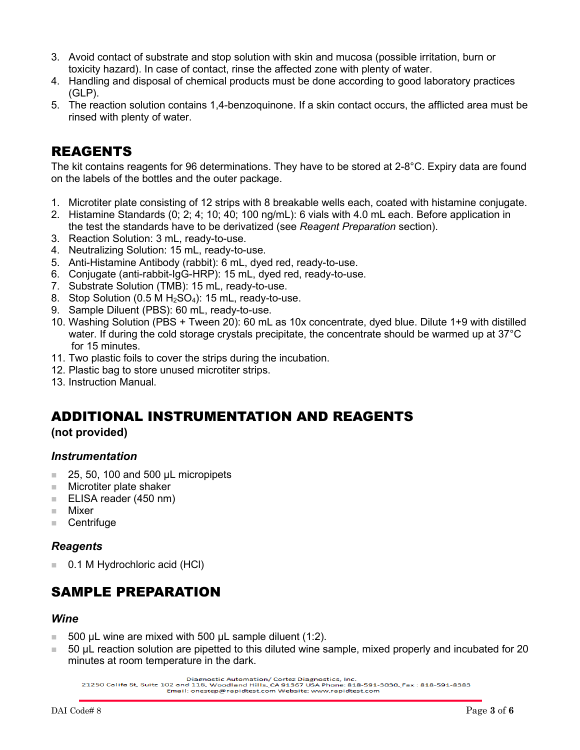- 3. Avoid contact of substrate and stop solution with skin and mucosa (possible irritation, burn or toxicity hazard). In case of contact, rinse the affected zone with plenty of water.
- 4. Handling and disposal of chemical products must be done according to good laboratory practices (GLP).
- 5. The reaction solution contains 1,4-benzoquinone. If a skin contact occurs, the afflicted area must be rinsed with plenty of water.

## REAGENTS

The kit contains reagents for 96 determinations. They have to be stored at 2-8°C. Expiry data are found on the labels of the bottles and the outer package.

- 1. Microtiter plate consisting of 12 strips with 8 breakable wells each, coated with histamine conjugate.
- 2. Histamine Standards (0; 2; 4; 10; 40; 100 ng/mL): 6 vials with 4.0 mL each. Before application in the test the standards have to be derivatized (see *Reagent Preparation* section).
- 3. Reaction Solution: 3 mL, ready-to-use.
- 4. Neutralizing Solution: 15 mL, ready-to-use.
- 5. Anti-Histamine Antibody (rabbit): 6 mL, dyed red, ready-to-use.
- 6. Conjugate (anti-rabbit-IgG-HRP): 15 mL, dyed red, ready-to-use.
- 7. Substrate Solution (TMB): 15 mL, ready-to-use.
- 8. Stop Solution  $(0.5 M H<sub>2</sub>SO<sub>4</sub>)$ : 15 mL, ready-to-use.
- 9. Sample Diluent (PBS): 60 mL, ready-to-use.
- 10. Washing Solution (PBS + Tween 20): 60 mL as 10x concentrate, dyed blue. Dilute 1+9 with distilled water. If during the cold storage crystals precipitate, the concentrate should be warmed up at 37<sup>°</sup>C for 15 minutes.
- 11. Two plastic foils to cover the strips during the incubation.
- 12. Plastic bag to store unused microtiter strips.
- 13. Instruction Manual.

### ADDITIONAL INSTRUMENTATION AND REAGENTS

#### **(not provided)**

#### *Instrumentation*

- $\Box$  25, 50, 100 and 500 µL micropipets
- Microtiter plate shaker
- $\blacksquare$  ELISA reader (450 nm)
- Mixer
- Centrifuge

#### *Reagents*

0.1 M Hydrochloric acid (HCl)

## SAMPLE PREPARATION

#### *Wine*

- 500 µL wine are mixed with 500 µL sample diluent (1:2).
- 50 µL reaction solution are pipetted to this diluted wine sample, mixed properly and incubated for 20 minutes at room temperature in the dark.

Diagnostic Automation/ Cortez Diagnostics, Inc.<br>21250 Califa St, Suite 102 and 116, Woodland Hills. CA 91367 USA Phone: 818-591-8383<br>Email: onestep@rapidtest.com Website: www.rapidtest.com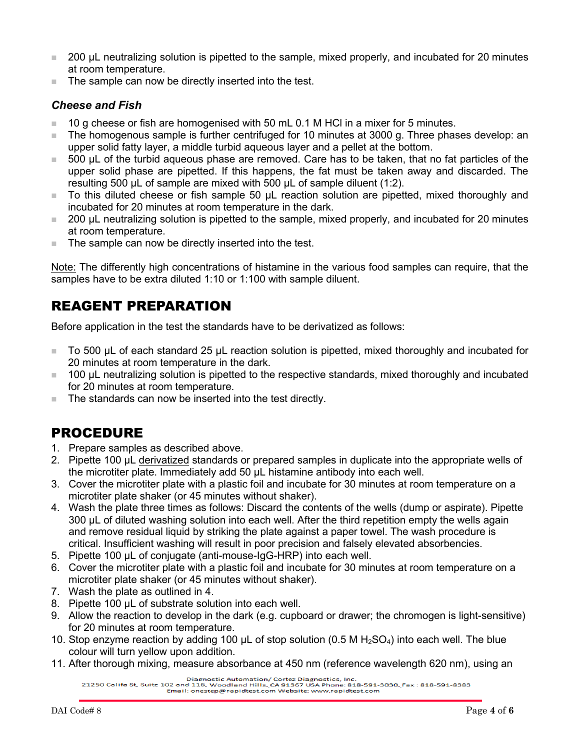- 200 µL neutralizing solution is pipetted to the sample, mixed properly, and incubated for 20 minutes at room temperature.
- The sample can now be directly inserted into the test.

#### *Cheese and Fish*

- $10$  g cheese or fish are homogenised with 50 mL 0.1 M HCI in a mixer for 5 minutes.
- The homogenous sample is further centrifuged for 10 minutes at 3000 g. Three phases develop: an upper solid fatty layer, a middle turbid aqueous layer and a pellet at the bottom.
- 500 µL of the turbid aqueous phase are removed. Care has to be taken, that no fat particles of the upper solid phase are pipetted. If this happens, the fat must be taken away and discarded. The resulting 500 µL of sample are mixed with 500 µL of sample diluent (1:2).
- To this diluted cheese or fish sample 50 µL reaction solution are pipetted, mixed thoroughly and incubated for 20 minutes at room temperature in the dark.
- 200 µL neutralizing solution is pipetted to the sample, mixed properly, and incubated for 20 minutes at room temperature.
- $\blacksquare$  The sample can now be directly inserted into the test.

Note: The differently high concentrations of histamine in the various food samples can require, that the samples have to be extra diluted 1:10 or 1:100 with sample diluent.

## REAGENT PREPARATION

Before application in the test the standards have to be derivatized as follows:

- To 500 µL of each standard 25 µL reaction solution is pipetted, mixed thoroughly and incubated for 20 minutes at room temperature in the dark.
- 100 µL neutralizing solution is pipetted to the respective standards, mixed thoroughly and incubated for 20 minutes at room temperature.
- The standards can now be inserted into the test directly.

## PROCEDURE

- 1. Prepare samples as described above.
- 2. Pipette 100 µL derivatized standards or prepared samples in duplicate into the appropriate wells of the microtiter plate. Immediately add 50 µL histamine antibody into each well.
- 3. Cover the microtiter plate with a plastic foil and incubate for 30 minutes at room temperature on a microtiter plate shaker (or 45 minutes without shaker).
- 4. Wash the plate three times as follows: Discard the contents of the wells (dump or aspirate). Pipette 300 µL of diluted washing solution into each well. After the third repetition empty the wells again and remove residual liquid by striking the plate against a paper towel. The wash procedure is critical. Insufficient washing will result in poor precision and falsely elevated absorbencies.
- 5. Pipette 100 µL of conjugate (anti-mouse-IgG-HRP) into each well.
- 6. Cover the microtiter plate with a plastic foil and incubate for 30 minutes at room temperature on a microtiter plate shaker (or 45 minutes without shaker).
- 7. Wash the plate as outlined in 4.
- 8. Pipette 100 µL of substrate solution into each well.
- 9. Allow the reaction to develop in the dark (e.g. cupboard or drawer; the chromogen is light-sensitive) for 20 minutes at room temperature.
- 10. Stop enzyme reaction by adding 100  $\mu$ L of stop solution (0.5 M H<sub>2</sub>SO<sub>4</sub>) into each well. The blue colour will turn yellow upon addition.
- 11. After thorough mixing, measure absorbance at 450 nm (reference wavelength 620 nm), using an

Diagnostic Automation/ Cortez Diagnostics, Inc.<br>21250 Califa St, Suite 102 and 116, Woodland Hills, CA 91367 USA Phone: 818-591-3030, Fax : 818-591-8383<br>Email: onestep@rapidtest.com Website: www.rapidtest.com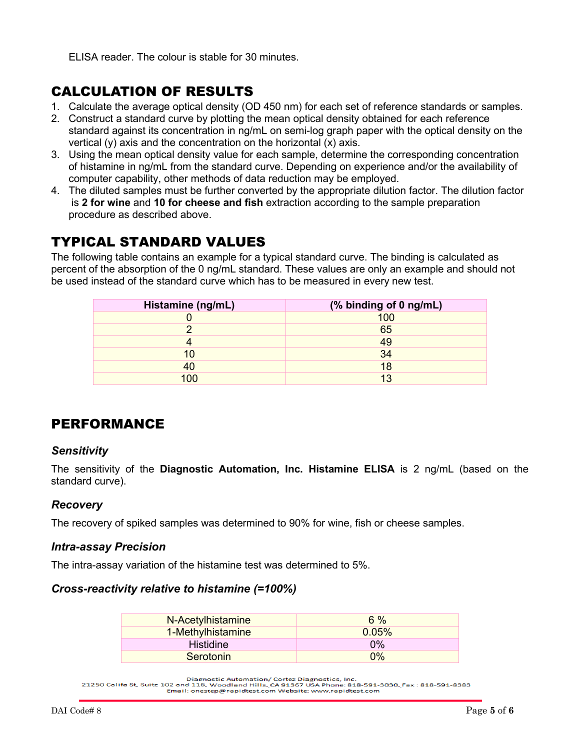ELISA reader. The colour is stable for 30 minutes.

## CALCULATION OF RESULTS

- 1. Calculate the average optical density (OD 450 nm) for each set of reference standards or samples.
- 2. Construct a standard curve by plotting the mean optical density obtained for each reference standard against its concentration in ng/mL on semi-log graph paper with the optical density on the vertical (y) axis and the concentration on the horizontal (x) axis.
- 3. Using the mean optical density value for each sample, determine the corresponding concentration of histamine in ng/mL from the standard curve. Depending on experience and/or the availability of computer capability, other methods of data reduction may be employed.
- 4. The diluted samples must be further converted by the appropriate dilution factor. The dilution factor is **2 for wine** and **10 for cheese and fish** extraction according to the sample preparation procedure as described above.

## TYPICAL STANDARD VALUES

The following table contains an example for a typical standard curve. The binding is calculated as percent of the absorption of the 0 ng/mL standard. These values are only an example and should not be used instead of the standard curve which has to be measured in every new test.

| Histamine (ng/mL) | (% binding of 0 ng/mL) |
|-------------------|------------------------|
|                   | 100                    |
|                   | 65                     |
|                   | 49                     |
| ю                 | 34                     |
| 40                | 18                     |
| 100               | $\overline{12}$        |

## PERFORMANCE

#### *Sensitivity*

The sensitivity of the **Diagnostic Automation, Inc. Histamine ELISA** is 2 ng/mL (based on the standard curve).

#### *Recovery*

The recovery of spiked samples was determined to 90% for wine, fish or cheese samples.

#### *Intra-assay Precision*

The intra-assay variation of the histamine test was determined to 5%.

#### *Cross-reactivity relative to histamine (=100%)*

| N-Acetylhistamine | $6\%$ |
|-------------------|-------|
| 1-Methylhistamine | 0.05% |
| <b>Histidine</b>  | $0\%$ |
| Serotonin         | $0\%$ |

Diagnostic Automation/ Cortez Diagnostics, Inc.<br>21250 Califa St, Suite 102 and 116, Woodland Hills. CA 91367 USA Phone: 818-591-8383<br>Email: onestep@rapidtest.com Website: www.rapidtest.com